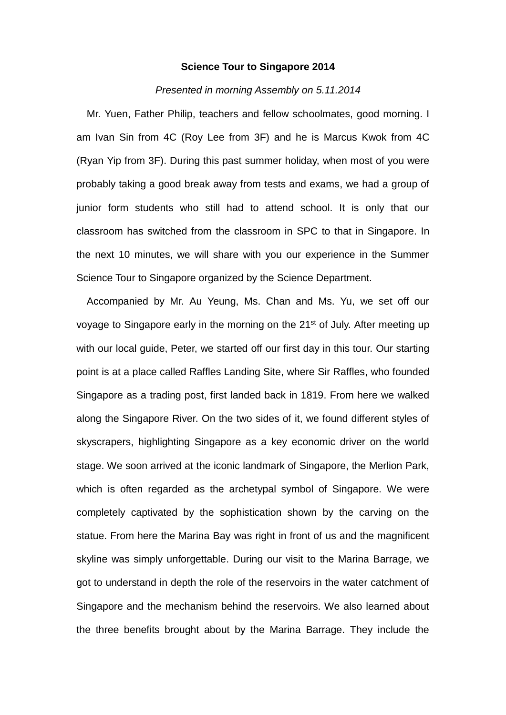## **Science Tour to Singapore 2014**

## *Presented in morning Assembly on 5.11.2014*

Mr. Yuen, Father Philip, teachers and fellow schoolmates, good morning. I am Ivan Sin from 4C (Roy Lee from 3F) and he is Marcus Kwok from 4C (Ryan Yip from 3F). During this past summer holiday, when most of you were probably taking a good break away from tests and exams, we had a group of junior form students who still had to attend school. It is only that our classroom has switched from the classroom in SPC to that in Singapore. In the next 10 minutes, we will share with you our experience in the Summer Science Tour to Singapore organized by the Science Department.

Accompanied by Mr. Au Yeung, Ms. Chan and Ms. Yu, we set off our voyage to Singapore early in the morning on the 21st of July. After meeting up with our local guide, Peter, we started off our first day in this tour. Our starting point is at a place called Raffles Landing Site, where Sir Raffles, who founded Singapore as a trading post, first landed back in 1819. From here we walked along the Singapore River. On the two sides of it, we found different styles of skyscrapers, highlighting Singapore as a key economic driver on the world stage. We soon arrived at the iconic landmark of Singapore, the Merlion Park, which is often regarded as the archetypal symbol of Singapore. We were completely captivated by the sophistication shown by the carving on the statue. From here the Marina Bay was right in front of us and the magnificent skyline was simply unforgettable. During our visit to the Marina Barrage, we got to understand in depth the role of the reservoirs in the water catchment of Singapore and the mechanism behind the reservoirs. We also learned about the three benefits brought about by the Marina Barrage. They include the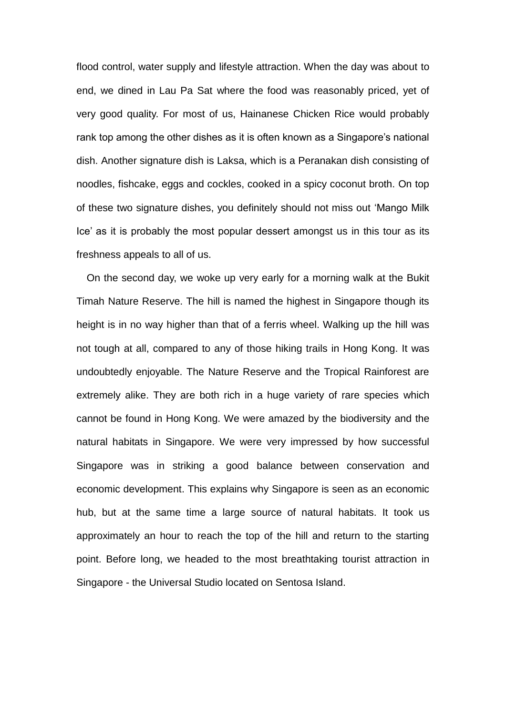flood control, water supply and lifestyle attraction. When the day was about to end, we dined in Lau Pa Sat where the food was reasonably priced, yet of very good quality. For most of us, Hainanese Chicken Rice would probably rank top among the other dishes as it is often known as a Singapore's national dish. Another signature dish is Laksa, which is a Peranakan dish consisting of noodles, fishcake, eggs and cockles, cooked in a spicy coconut broth. On top of these two signature dishes, you definitely should not miss out 'Mango Milk Ice' as it is probably the most popular dessert amongst us in this tour as its freshness appeals to all of us.

On the second day, we woke up very early for a morning walk at the Bukit Timah Nature Reserve. The hill is named the highest in Singapore though its height is in no way higher than that of a ferris wheel. Walking up the hill was not tough at all, compared to any of those hiking trails in Hong Kong. It was undoubtedly enjoyable. The Nature Reserve and the Tropical Rainforest are extremely alike. They are both rich in a huge variety of rare species which cannot be found in Hong Kong. We were amazed by the biodiversity and the natural habitats in Singapore. We were very impressed by how successful Singapore was in striking a good balance between conservation and economic development. This explains why Singapore is seen as an economic hub, but at the same time a large source of natural habitats. It took us approximately an hour to reach the top of the hill and return to the starting point. Before long, we headed to the most breathtaking tourist attraction in Singapore - the Universal Studio located on Sentosa Island.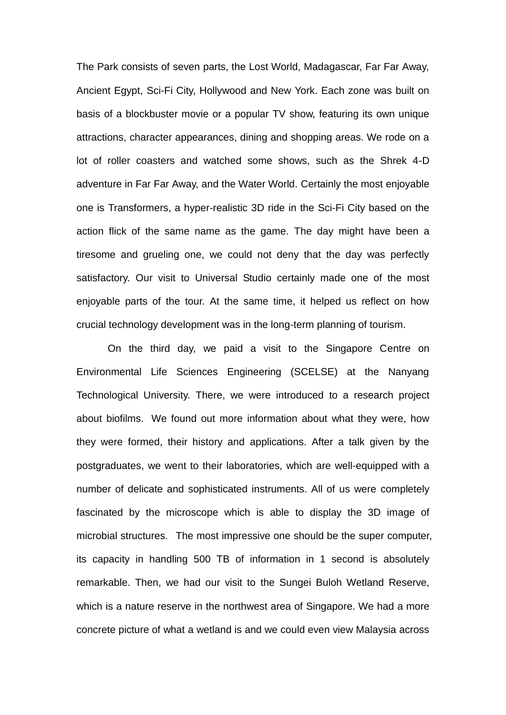The Park consists of seven parts, the Lost World, Madagascar, Far Far Away, Ancient Egypt, Sci-Fi City, Hollywood and New York. Each zone was built on basis of a blockbuster movie or a popular TV show, featuring its own unique attractions, character appearances, dining and shopping areas. We rode on a lot of roller coasters and watched some shows, such as the Shrek 4-D adventure in Far Far Away, and the Water World. Certainly the most enjoyable one is Transformers, a hyper-realistic 3D ride in the Sci-Fi City based on the action flick of the same name as the game. The day might have been a tiresome and grueling one, we could not deny that the day was perfectly satisfactory. Our visit to Universal Studio certainly made one of the most enjoyable parts of the tour. At the same time, it helped us reflect on how crucial technology development was in the long-term planning of tourism.

On the third day, we paid a visit to the Singapore Centre on Environmental Life Sciences Engineering (SCELSE) at the Nanyang Technological University. There, we were introduced to a research project about biofilms. We found out more information about what they were, how they were formed, their history and applications. After a talk given by the postgraduates, we went to their laboratories, which are well-equipped with a number of delicate and sophisticated instruments. All of us were completely fascinated by the microscope which is able to display the 3D image of microbial structures. The most impressive one should be the super computer, its capacity in handling 500 TB of information in 1 second is absolutely remarkable. Then, we had our visit to the Sungei Buloh Wetland Reserve, which is a nature reserve in the northwest area of Singapore. We had a more concrete picture of what a wetland is and we could even view Malaysia across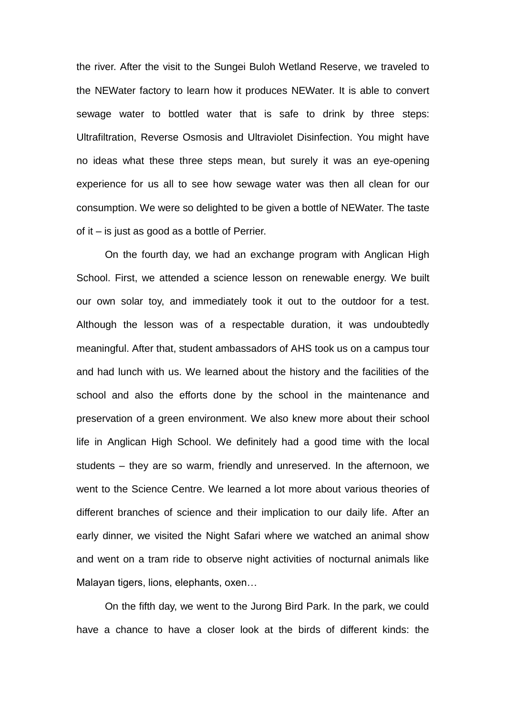the river. After the visit to the Sungei Buloh Wetland Reserve, we traveled to the NEWater factory to learn how it produces NEWater. It is able to convert sewage water to bottled water that is safe to drink by three steps: Ultrafiltration, Reverse Osmosis and Ultraviolet Disinfection. You might have no ideas what these three steps mean, but surely it was an eye-opening experience for us all to see how sewage water was then all clean for our consumption. We were so delighted to be given a bottle of NEWater. The taste of it – is just as good as a bottle of Perrier.

On the fourth day, we had an exchange program with Anglican High School. First, we attended a science lesson on renewable energy. We built our own solar toy, and immediately took it out to the outdoor for a test. Although the lesson was of a respectable duration, it was undoubtedly meaningful. After that, student ambassadors of AHS took us on a campus tour and had lunch with us. We learned about the history and the facilities of the school and also the efforts done by the school in the maintenance and preservation of a green environment. We also knew more about their school life in Anglican High School. We definitely had a good time with the local students – they are so warm, friendly and unreserved. In the afternoon, we went to the Science Centre. We learned a lot more about various theories of different branches of science and their implication to our daily life. After an early dinner, we visited the Night Safari where we watched an animal show and went on a tram ride to observe night activities of nocturnal animals like Malayan tigers, lions, elephants, oxen…

On the fifth day, we went to the Jurong Bird Park. In the park, we could have a chance to have a closer look at the birds of different kinds: the